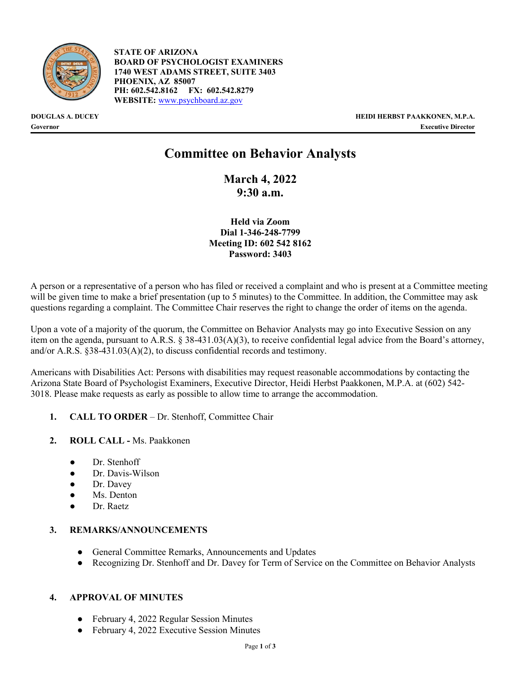

**STATE OF ARIZONA BOARD OF PSYCHOLOGIST EXAMINERS 1740 WEST ADAMS STREET, SUITE 3403 PHOENIX, AZ 85007 PH: 602.542.8162 FX: 602.542.8279 WEBSITE:** [www.psychboard.az.gov](http://www.psychboard.az.gov/)

**DOUGLAS A. DUCEY HEIDI HERBST PAAKKONEN, M.P.A. Governor Executive Director**

# **Committee on Behavior Analysts**

**March 4, 2022 9:30 a.m.**

**Held via Zoom Dial 1-346-248-7799 Meeting ID: 602 542 8162 Password: 3403**

A person or a representative of a person who has filed or received a complaint and who is present at a Committee meeting will be given time to make a brief presentation (up to 5 minutes) to the Committee. In addition, the Committee may ask questions regarding a complaint. The Committee Chair reserves the right to change the order of items on the agenda.

Upon a vote of a majority of the quorum, the Committee on Behavior Analysts may go into Executive Session on any item on the agenda, pursuant to A.R.S. § 38-431.03(A)(3), to receive confidential legal advice from the Board's attorney, and/or A.R.S. §38-431.03(A)(2), to discuss confidential records and testimony.

Americans with Disabilities Act: Persons with disabilities may request reasonable accommodations by contacting the Arizona State Board of Psychologist Examiners, Executive Director, Heidi Herbst Paakkonen, M.P.A. at (602) 542- 3018. Please make requests as early as possible to allow time to arrange the accommodation.

- **1. CALL TO ORDER**  Dr. Stenhoff, Committee Chair
- **2. ROLL CALL -** Ms. Paakkonen
	- Dr. Stenhoff
	- Dr. Davis-Wilson
	- Dr. Davey
	- Ms. Denton
	- Dr. Raetz

## **3. REMARKS/ANNOUNCEMENTS**

- General Committee Remarks, Announcements and Updates
- Recognizing Dr. Stenhoff and Dr. Davey for Term of Service on the Committee on Behavior Analysts

## **4. APPROVAL OF MINUTES**

- **●** February 4, 2022 Regular Session Minutes
- **●** February 4, 2022 Executive Session Minutes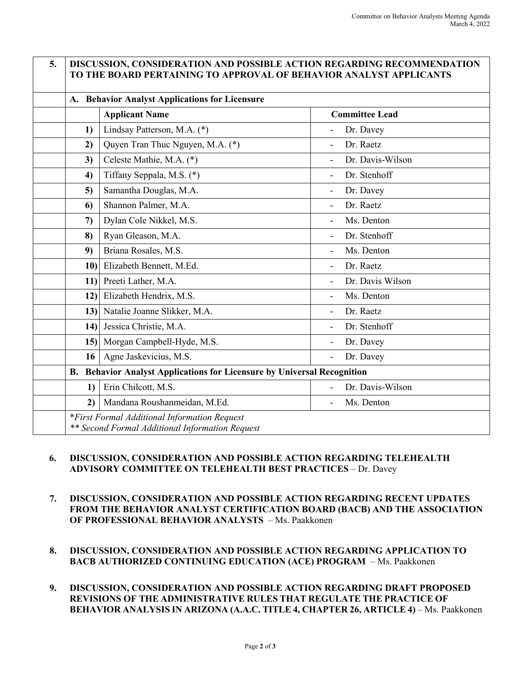|                 | A. Behavior Analyst Applications for Licensure                          |                             |
|-----------------|-------------------------------------------------------------------------|-----------------------------|
|                 | <b>Applicant Name</b>                                                   | <b>Committee Lead</b>       |
| 1)              | Lindsay Patterson, M.A. (*)                                             | Dr. Davey                   |
| 2)              | Quyen Tran Thuc Nguyen, M.A. (*)                                        | Dr. Raetz                   |
| 3)              | Celeste Mathie, M.A. (*)                                                | Dr. Davis-Wilson            |
| 4)              | Tiffany Seppala, M.S. (*)                                               | Dr. Stenhoff                |
| 5)              | Samantha Douglas, M.A.                                                  | Dr. Davey                   |
| 6)              | Shannon Palmer, M.A.                                                    | Dr. Raetz                   |
| $\mathcal{L}$   | Dylan Cole Nikkel, M.S.                                                 | Ms. Denton                  |
| 8)              | Ryan Gleason, M.A.                                                      | Dr. Stenhoff                |
| 9)              | Briana Rosales, M.S.                                                    | Ms. Denton                  |
| 10 <sub>l</sub> | Elizabeth Bennett, M.Ed.                                                | Dr. Raetz                   |
| 11              | Preeti Lather, M.A.                                                     | Dr. Davis Wilson            |
| 12)             | Elizabeth Hendrix, M.S.                                                 | Ms. Denton                  |
|                 | 13) Natalie Joanne Slikker, M.A.                                        | Dr. Raetz                   |
| 14              | Jessica Christie, M.A.                                                  | Dr. Stenhoff                |
|                 | 15) Morgan Campbell-Hyde, M.S.                                          | Dr. Davey<br>$\blacksquare$ |
| 16              | Agne Jaskevicius, M.S.                                                  | Dr. Davey<br>$\blacksquare$ |
|                 | B. Behavior Analyst Applications for Licensure by Universal Recognition |                             |
| 1)              | Erin Chilcott, M.S.                                                     | Dr. Davis-Wilson            |
| 2)              | Mandana Roushanmeidan, M.Ed.                                            | Ms. Denton                  |

## **6. DISCUSSION, CONSIDERATION AND POSSIBLE ACTION REGARDING TELEHEALTH ADVISORY COMMITTEE ON TELEHEALTH BEST PRACTICES** – Dr. Davey

- **7. DISCUSSION, CONSIDERATION AND POSSIBLE ACTION REGARDING RECENT UPDATES FROM THE BEHAVIOR ANALYST CERTIFICATION BOARD (BACB) AND THE ASSOCIATION OF PROFESSIONAL BEHAVIOR ANALYSTS** – Ms. Paakkonen
- **8. DISCUSSION, CONSIDERATION AND POSSIBLE ACTION REGARDING APPLICATION TO BACB AUTHORIZED CONTINUING EDUCATION (ACE) PROGRAM** – Ms. Paakkonen
- **9. DISCUSSION, CONSIDERATION AND POSSIBLE ACTION REGARDING DRAFT PROPOSED REVISIONS OF THE ADMINISTRATIVE RULES THAT REGULATE THE PRACTICE OF BEHAVIOR ANALYSIS IN ARIZONA (A.A.C. TITLE 4, CHAPTER 26, ARTICLE 4)** – Ms. Paakkonen